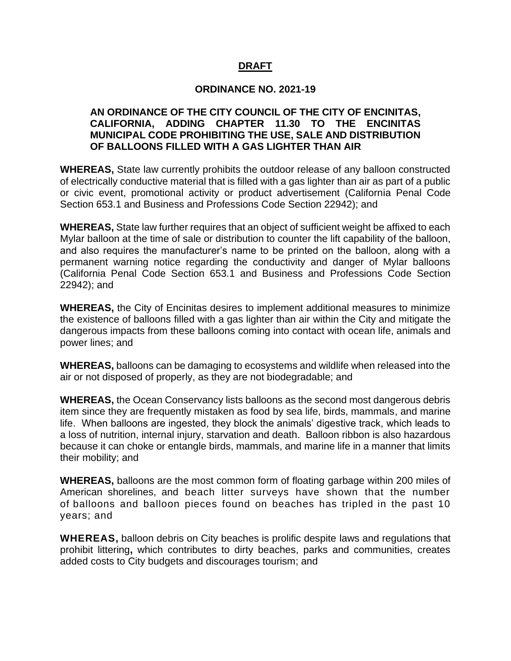## **DRAFT**

#### **ORDINANCE NO. 2021-19**

#### **AN ORDINANCE OF THE CITY COUNCIL OF THE CITY OF ENCINITAS, CALIFORNIA, ADDING CHAPTER 11.30 TO THE ENCINITAS MUNICIPAL CODE PROHIBITING THE USE, SALE AND DISTRIBUTION OF BALLOONS FILLED WITH A GAS LIGHTER THAN AIR**

**WHEREAS,** State law currently prohibits the outdoor release of any balloon constructed of electrically conductive material that is filled with a gas lighter than air as part of a public or civic event, promotional activity or product advertisement (California Penal Code Section 653.1 and Business and Professions Code Section 22942); and

**WHEREAS,** State law further requires that an object of sufficient weight be affixed to each Mylar balloon at the time of sale or distribution to counter the lift capability of the balloon, and also requires the manufacturer's name to be printed on the balloon, along with a permanent warning notice regarding the conductivity and danger of Mylar balloons (California Penal Code Section 653.1 and Business and Professions Code Section 22942); and

**WHEREAS,** the City of Encinitas desires to implement additional measures to minimize the existence of balloons filled with a gas lighter than air within the City and mitigate the dangerous impacts from these balloons coming into contact with ocean life, animals and power lines; and

**WHEREAS,** balloons can be damaging to ecosystems and wildlife when released into the air or not disposed of properly, as they are not biodegradable; and

**WHEREAS,** the Ocean Conservancy lists balloons as the second most dangerous debris item since they are frequently mistaken as food by sea life, birds, mammals, and marine life. When balloons are ingested, they block the animals' digestive track, which leads to a loss of nutrition, internal injury, starvation and death. Balloon ribbon is also hazardous because it can choke or entangle birds, mammals, and marine life in a manner that limits their mobility; and

**WHEREAS,** balloons are the most common form of floating garbage within 200 miles of American shorelines, and beach litter surveys have shown that the number of balloons and balloon pieces found on beaches has tripled in the past 10 years; and

**WHEREAS,** balloon debris on City beaches is prolific despite laws and regulations that prohibit littering**,** which contributes to dirty beaches, parks and communities, creates added costs to City budgets and discourages tourism; and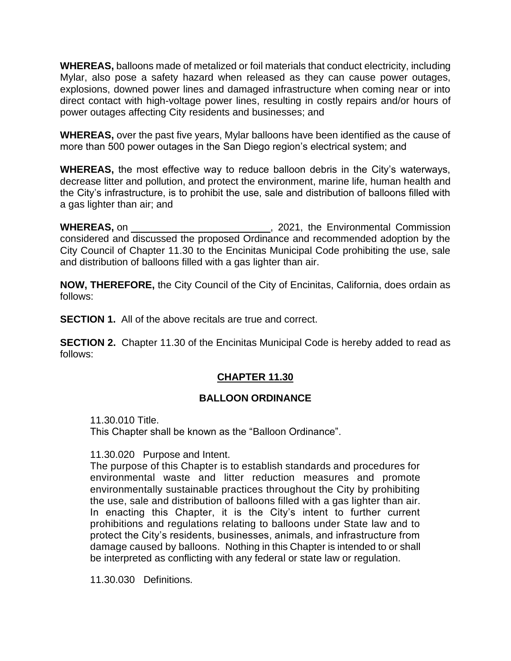**WHEREAS,** balloons made of metalized or foil materials that conduct electricity, including Mylar, also pose a safety hazard when released as they can cause power outages, explosions, downed power lines and damaged infrastructure when coming near or into direct contact with high-voltage power lines, resulting in costly repairs and/or hours of power outages affecting City residents and businesses; and

**WHEREAS,** over the past five years, Mylar balloons have been identified as the cause of more than 500 power outages in the San Diego region's electrical system; and

**WHEREAS,** the most effective way to reduce balloon debris in the City's waterways, decrease litter and pollution, and protect the environment, marine life, human health and the City's infrastructure, is to prohibit the use, sale and distribution of balloons filled with a gas lighter than air; and

**WHEREAS, on WHEREAS, on** *COLLECTIVE 2021***, the Environmental Commission** considered and discussed the proposed Ordinance and recommended adoption by the City Council of Chapter 11.30 to the Encinitas Municipal Code prohibiting the use, sale and distribution of balloons filled with a gas lighter than air.

**NOW, THEREFORE,** the City Council of the City of Encinitas, California, does ordain as follows:

**SECTION 1.** All of the above recitals are true and correct.

**SECTION 2.** Chapter 11.30 of the Encinitas Municipal Code is hereby added to read as follows:

# **CHAPTER 11.30**

# **BALLOON ORDINANCE**

11.30.010 Title.

This Chapter shall be known as the "Balloon Ordinance".

11.30.020 Purpose and Intent.

The purpose of this Chapter is to establish standards and procedures for environmental waste and litter reduction measures and promote environmentally sustainable practices throughout the City by prohibiting the use, sale and distribution of balloons filled with a gas lighter than air. In enacting this Chapter, it is the City's intent to further current prohibitions and regulations relating to balloons under State law and to protect the City's residents, businesses, animals, and infrastructure from damage caused by balloons. Nothing in this Chapter is intended to or shall be interpreted as conflicting with any federal or state law or regulation.

11.30.030 Definitions.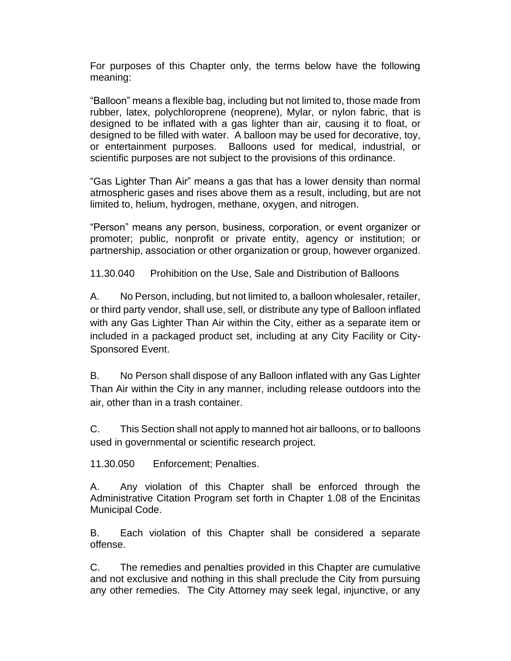For purposes of this Chapter only, the terms below have the following meaning:

"Balloon" means a flexible bag, including but not limited to, those made from rubber, latex, polychloroprene (neoprene), Mylar, or nylon fabric, that is designed to be inflated with a gas lighter than air, causing it to float, or designed to be filled with water. A balloon may be used for decorative, toy, or entertainment purposes. Balloons used for medical, industrial, or scientific purposes are not subject to the provisions of this ordinance.

"Gas Lighter Than Air" means a gas that has a lower density than normal atmospheric gases and rises above them as a result, including, but are not limited to, helium, hydrogen, methane, oxygen, and nitrogen.

"Person" means any person, business, corporation, or event organizer or promoter; public, nonprofit or private entity, agency or institution; or partnership, association or other organization or group, however organized.

11.30.040 Prohibition on the Use, Sale and Distribution of Balloons

A. No Person, including, but not limited to, a balloon wholesaler, retailer, or third party vendor, shall use, sell, or distribute any type of Balloon inflated with any Gas Lighter Than Air within the City, either as a separate item or included in a packaged product set, including at any City Facility or City-Sponsored Event.

B. No Person shall dispose of any Balloon inflated with any Gas Lighter Than Air within the City in any manner, including release outdoors into the air, other than in a trash container.

C. This Section shall not apply to manned hot air balloons, or to balloons used in governmental or scientific research project.

11.30.050 Enforcement; Penalties.

A. Any violation of this Chapter shall be enforced through the Administrative Citation Program set forth in Chapter 1.08 of the Encinitas Municipal Code.

B. Each violation of this Chapter shall be considered a separate offense.

C. The remedies and penalties provided in this Chapter are cumulative and not exclusive and nothing in this shall preclude the City from pursuing any other remedies. The City Attorney may seek legal, injunctive, or any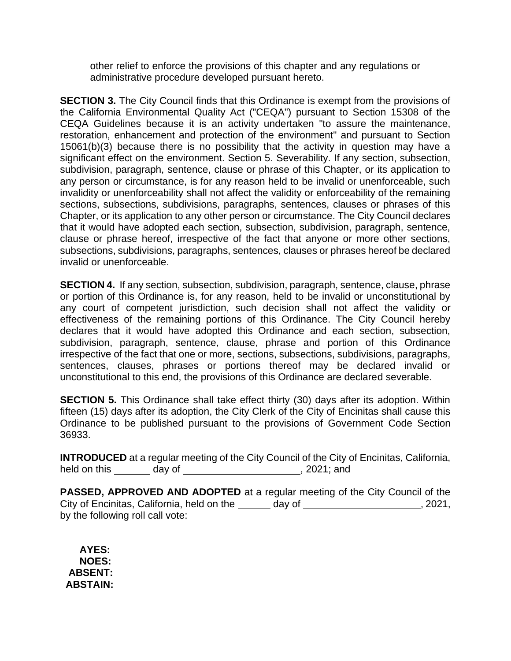other relief to enforce the provisions of this chapter and any regulations or administrative procedure developed pursuant hereto.

**SECTION 3.** The City Council finds that this Ordinance is exempt from the provisions of the California Environmental Quality Act ("CEQA") pursuant to Section 15308 of the CEQA Guidelines because it is an activity undertaken "to assure the maintenance, restoration, enhancement and protection of the environment" and pursuant to Section 15061(b)(3) because there is no possibility that the activity in question may have a significant effect on the environment. Section 5. Severability. If any section, subsection, subdivision, paragraph, sentence, clause or phrase of this Chapter, or its application to any person or circumstance, is for any reason held to be invalid or unenforceable, such invalidity or unenforceability shall not affect the validity or enforceability of the remaining sections, subsections, subdivisions, paragraphs, sentences, clauses or phrases of this Chapter, or its application to any other person or circumstance. The City Council declares that it would have adopted each section, subsection, subdivision, paragraph, sentence, clause or phrase hereof, irrespective of the fact that anyone or more other sections, subsections, subdivisions, paragraphs, sentences, clauses or phrases hereof be declared invalid or unenforceable.

**SECTION 4.** If any section, subsection, subdivision, paragraph, sentence, clause, phrase or portion of this Ordinance is, for any reason, held to be invalid or unconstitutional by any court of competent jurisdiction, such decision shall not affect the validity or effectiveness of the remaining portions of this Ordinance. The City Council hereby declares that it would have adopted this Ordinance and each section, subsection, subdivision, paragraph, sentence, clause, phrase and portion of this Ordinance irrespective of the fact that one or more, sections, subsections, subdivisions, paragraphs, sentences, clauses, phrases or portions thereof may be declared invalid or unconstitutional to this end, the provisions of this Ordinance are declared severable.

**SECTION 5.** This Ordinance shall take effect thirty (30) days after its adoption. Within fifteen (15) days after its adoption, the City Clerk of the City of Encinitas shall cause this Ordinance to be published pursuant to the provisions of Government Code Section 36933.

**INTRODUCED** at a regular meeting of the City Council of the City of Encinitas, California, held on this day of , 2021; and

**PASSED, APPROVED AND ADOPTED** at a regular meeting of the City Council of the City of Encinitas, California, held on the \_\_\_\_\_\_ day of \_\_\_\_\_\_\_\_\_\_\_\_\_\_\_\_\_\_\_\_\_, 2021, by the following roll call vote:

 **AYES: NOES: ABSENT: ABSTAIN:**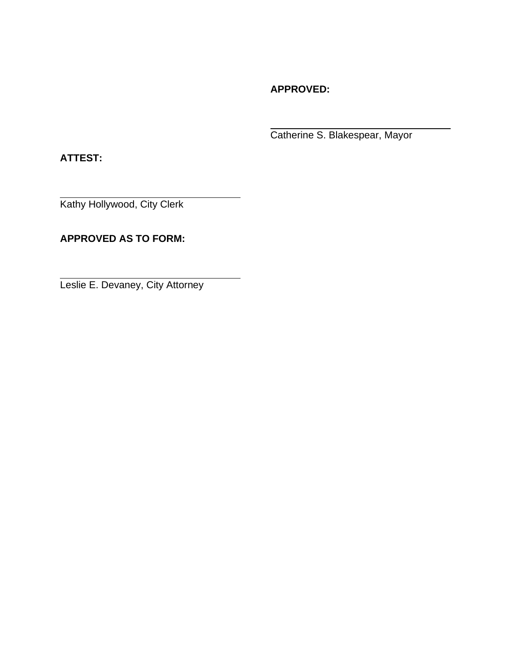**APPROVED:**

Catherine S. Blakespear, Mayor

**ATTEST:**

Kathy Hollywood, City Clerk

**APPROVED AS TO FORM:**

Leslie E. Devaney, City Attorney